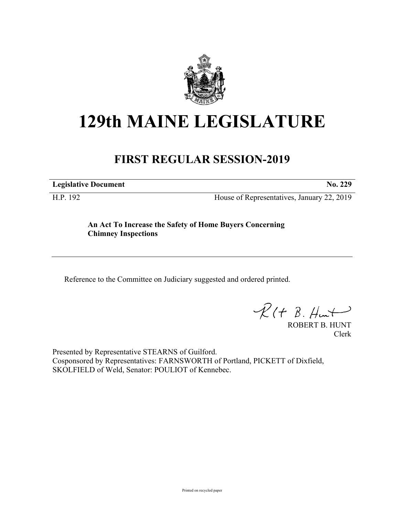

## **129th MAINE LEGISLATURE**

## **FIRST REGULAR SESSION-2019**

**Legislative Document No. 229**

H.P. 192 House of Representatives, January 22, 2019

**An Act To Increase the Safety of Home Buyers Concerning Chimney Inspections**

Reference to the Committee on Judiciary suggested and ordered printed.

 $R(t B. Hmt)$ 

ROBERT B. HUNT Clerk

Presented by Representative STEARNS of Guilford. Cosponsored by Representatives: FARNSWORTH of Portland, PICKETT of Dixfield, SKOLFIELD of Weld, Senator: POULIOT of Kennebec.